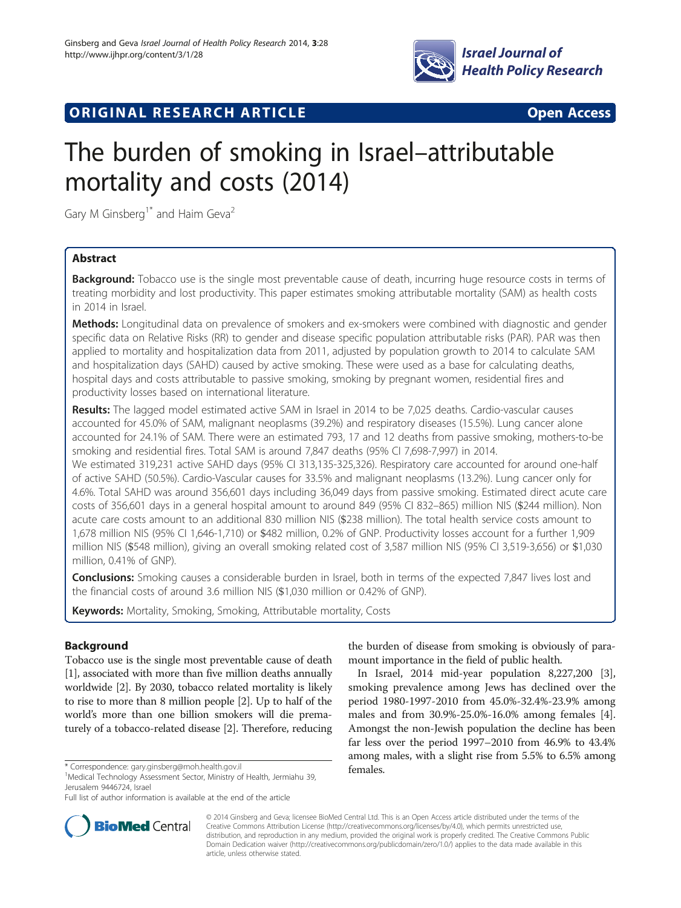

# **ORIGINAL RESEARCH ARTICLE CONSUMING ACCESS**

# The burden of smoking in Israel–attributable mortality and costs (2014)

Gary M Ginsberg<sup>1\*</sup> and Haim Geva<sup>2</sup>

# Abstract

Background: Tobacco use is the single most preventable cause of death, incurring huge resource costs in terms of treating morbidity and lost productivity. This paper estimates smoking attributable mortality (SAM) as health costs in 2014 in Israel.

**Methods:** Longitudinal data on prevalence of smokers and ex-smokers were combined with diagnostic and gender specific data on Relative Risks (RR) to gender and disease specific population attributable risks (PAR). PAR was then applied to mortality and hospitalization data from 2011, adjusted by population growth to 2014 to calculate SAM and hospitalization days (SAHD) caused by active smoking. These were used as a base for calculating deaths, hospital days and costs attributable to passive smoking, smoking by pregnant women, residential fires and productivity losses based on international literature.

Results: The lagged model estimated active SAM in Israel in 2014 to be 7,025 deaths. Cardio-vascular causes accounted for 45.0% of SAM, malignant neoplasms (39.2%) and respiratory diseases (15.5%). Lung cancer alone accounted for 24.1% of SAM. There were an estimated 793, 17 and 12 deaths from passive smoking, mothers-to-be smoking and residential fires. Total SAM is around 7,847 deaths (95% CI 7,698-7,997) in 2014.

We estimated 319,231 active SAHD days (95% CI 313,135-325,326). Respiratory care accounted for around one-half of active SAHD (50.5%). Cardio-Vascular causes for 33.5% and malignant neoplasms (13.2%). Lung cancer only for 4.6%. Total SAHD was around 356,601 days including 36,049 days from passive smoking. Estimated direct acute care costs of 356,601 days in a general hospital amount to around 849 (95% CI 832–865) million NIS (\$244 million). Non acute care costs amount to an additional 830 million NIS (\$238 million). The total health service costs amount to 1,678 million NIS (95% CI 1,646-1,710) or \$482 million, 0.2% of GNP. Productivity losses account for a further 1,909 million NIS (\$548 million), giving an overall smoking related cost of 3,587 million NIS (95% CI 3,519-3,656) or \$1,030 million, 0.41% of GNP).

Conclusions: Smoking causes a considerable burden in Israel, both in terms of the expected 7,847 lives lost and the financial costs of around 3.6 million NIS (\$1,030 million or 0.42% of GNP).

Keywords: Mortality, Smoking, Smoking, Attributable mortality, Costs

# Background

Tobacco use is the single most preventable cause of death [[1\]](#page-7-0), associated with more than five million deaths annually worldwide [[2](#page-7-0)]. By 2030, tobacco related mortality is likely to rise to more than 8 million people [\[2\]](#page-7-0). Up to half of the world's more than one billion smokers will die prematurely of a tobacco-related disease [\[2](#page-7-0)]. Therefore, reducing



In Israel, 2014 mid-year population 8,227,200 [\[3](#page-7-0)], smoking prevalence among Jews has declined over the period 1980-1997-2010 from 45.0%-32.4%-23.9% among males and from 30.9%-25.0%-16.0% among females [\[4](#page-7-0)]. Amongst the non-Jewish population the decline has been far less over the period 1997–2010 from 46.9% to 43.4% among males, with a slight rise from 5.5% to 6.5% among



© 2014 Ginsberg and Geva; licensee BioMed Central Ltd. This is an Open Access article distributed under the terms of the Creative Commons Attribution License (<http://creativecommons.org/licenses/by/4.0>), which permits unrestricted use, distribution, and reproduction in any medium, provided the original work is properly credited. The Creative Commons Public Domain Dedication waiver [\(http://creativecommons.org/publicdomain/zero/1.0/\)](http://creativecommons.org/publicdomain/zero/1.0/) applies to the data made available in this article, unless otherwise stated.

females. \* Correspondence: [gary.ginsberg@moh.health.gov.il](mailto:gary.ginsberg@moh.health.gov.il) <sup>1</sup>

<sup>&</sup>lt;sup>1</sup>Medical Technology Assessment Sector, Ministry of Health, Jermiahu 39, Jerusalem 9446724, Israel

Full list of author information is available at the end of the article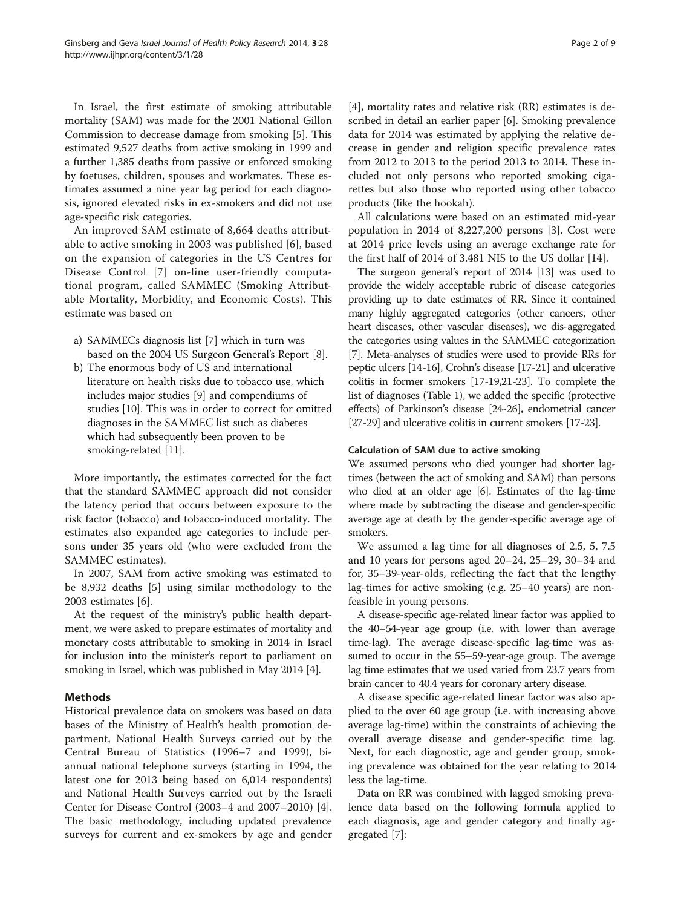In Israel, the first estimate of smoking attributable mortality (SAM) was made for the 2001 National Gillon Commission to decrease damage from smoking [\[5\]](#page-7-0). This estimated 9,527 deaths from active smoking in 1999 and a further 1,385 deaths from passive or enforced smoking by foetuses, children, spouses and workmates. These estimates assumed a nine year lag period for each diagnosis, ignored elevated risks in ex-smokers and did not use age-specific risk categories.

An improved SAM estimate of 8,664 deaths attributable to active smoking in 2003 was published [\[6](#page-7-0)], based on the expansion of categories in the US Centres for Disease Control [[7\]](#page-7-0) on-line user-friendly computational program, called SAMMEC (Smoking Attributable Mortality, Morbidity, and Economic Costs). This estimate was based on

- a) SAMMECs diagnosis list [[7](#page-7-0)] which in turn was based on the 2004 US Surgeon General's Report [[8](#page-7-0)].
- b) The enormous body of US and international literature on health risks due to tobacco use, which includes major studies [\[9](#page-7-0)] and compendiums of studies [\[10\]](#page-7-0). This was in order to correct for omitted diagnoses in the SAMMEC list such as diabetes which had subsequently been proven to be smoking-related [\[11\]](#page-7-0).

More importantly, the estimates corrected for the fact that the standard SAMMEC approach did not consider the latency period that occurs between exposure to the risk factor (tobacco) and tobacco-induced mortality. The estimates also expanded age categories to include persons under 35 years old (who were excluded from the SAMMEC estimates).

In 2007, SAM from active smoking was estimated to be 8,932 deaths [[5\]](#page-7-0) using similar methodology to the 2003 estimates [\[6](#page-7-0)].

At the request of the ministry's public health department, we were asked to prepare estimates of mortality and monetary costs attributable to smoking in 2014 in Israel for inclusion into the minister's report to parliament on smoking in Israel, which was published in May 2014 [[4\]](#page-7-0).

# Methods

Historical prevalence data on smokers was based on data bases of the Ministry of Health's health promotion department, National Health Surveys carried out by the Central Bureau of Statistics (1996–7 and 1999), biannual national telephone surveys (starting in 1994, the latest one for 2013 being based on 6,014 respondents) and National Health Surveys carried out by the Israeli Center for Disease Control (2003–4 and 2007–2010) [\[4](#page-7-0)]. The basic methodology, including updated prevalence surveys for current and ex-smokers by age and gender

[[4\]](#page-7-0), mortality rates and relative risk (RR) estimates is described in detail an earlier paper [\[6](#page-7-0)]. Smoking prevalence data for 2014 was estimated by applying the relative decrease in gender and religion specific prevalence rates from 2012 to 2013 to the period 2013 to 2014. These included not only persons who reported smoking cigarettes but also those who reported using other tobacco products (like the hookah).

All calculations were based on an estimated mid-year population in 2014 of 8,227,200 persons [\[3\]](#page-7-0). Cost were at 2014 price levels using an average exchange rate for the first half of 2014 of 3.481 NIS to the US dollar [\[14\]](#page-7-0).

The surgeon general's report of 2014 [\[13\]](#page-7-0) was used to provide the widely acceptable rubric of disease categories providing up to date estimates of RR. Since it contained many highly aggregated categories (other cancers, other heart diseases, other vascular diseases), we dis-aggregated the categories using values in the SAMMEC categorization [[7](#page-7-0)]. Meta-analyses of studies were used to provide RRs for peptic ulcers [\[14](#page-7-0)-[16](#page-7-0)], Crohn's disease [[17](#page-7-0)-[21\]](#page-7-0) and ulcerative colitis in former smokers [[17-19,21](#page-7-0)-[23](#page-7-0)]. To complete the list of diagnoses (Table [1\)](#page-2-0), we added the specific (protective effects) of Parkinson's disease [\[24-26\]](#page-7-0), endometrial cancer [[27](#page-7-0)-[29\]](#page-7-0) and ulcerative colitis in current smokers [\[17-23](#page-7-0)].

## Calculation of SAM due to active smoking

We assumed persons who died younger had shorter lagtimes (between the act of smoking and SAM) than persons who died at an older age [\[6\]](#page-7-0). Estimates of the lag-time where made by subtracting the disease and gender-specific average age at death by the gender-specific average age of smokers.

We assumed a lag time for all diagnoses of 2.5, 5, 7.5 and 10 years for persons aged 20–24, 25–29, 30–34 and for, 35–39-year-olds, reflecting the fact that the lengthy lag-times for active smoking (e.g. 25–40 years) are nonfeasible in young persons.

A disease-specific age-related linear factor was applied to the 40–54-year age group (i.e. with lower than average time-lag). The average disease-specific lag-time was assumed to occur in the 55–59-year-age group. The average lag time estimates that we used varied from 23.7 years from brain cancer to 40.4 years for coronary artery disease.

A disease specific age-related linear factor was also applied to the over 60 age group (i.e. with increasing above average lag-time) within the constraints of achieving the overall average disease and gender-specific time lag. Next, for each diagnostic, age and gender group, smoking prevalence was obtained for the year relating to 2014 less the lag-time.

Data on RR was combined with lagged smoking prevalence data based on the following formula applied to each diagnosis, age and gender category and finally aggregated [\[7](#page-7-0)]: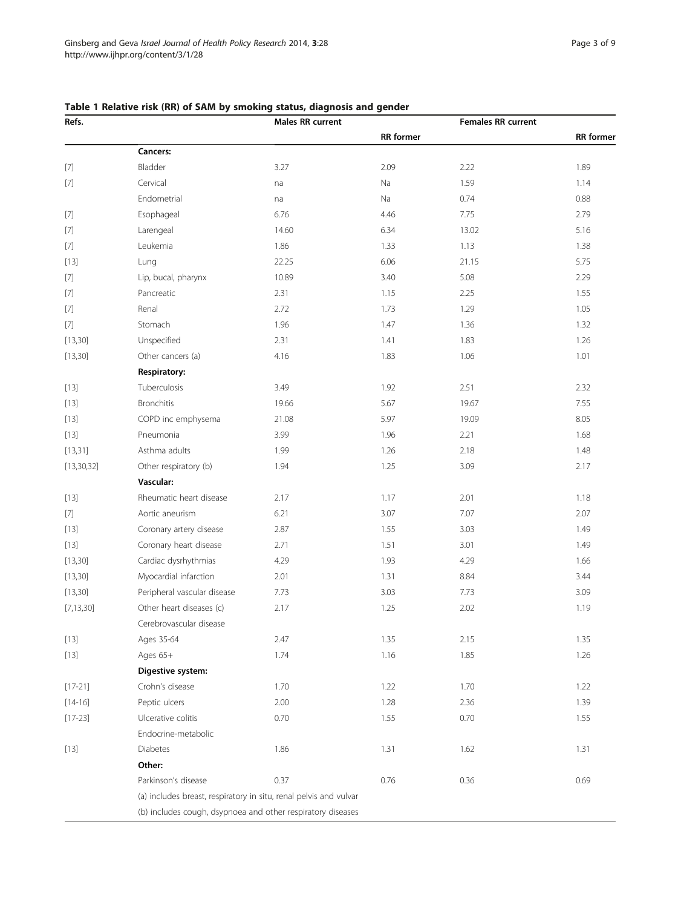# <span id="page-2-0"></span>Table 1 Relative risk (RR) of SAM by smoking status, diagnosis and gender

| Refs.                                                                                                                                                                                                                                                                                                                                                                                                                                                                                                                                                                                                                                                                                                                                                                                       |                                                                   | <b>Males RR current</b> |                  | <b>Females RR current</b> |                  |  |
|---------------------------------------------------------------------------------------------------------------------------------------------------------------------------------------------------------------------------------------------------------------------------------------------------------------------------------------------------------------------------------------------------------------------------------------------------------------------------------------------------------------------------------------------------------------------------------------------------------------------------------------------------------------------------------------------------------------------------------------------------------------------------------------------|-------------------------------------------------------------------|-------------------------|------------------|---------------------------|------------------|--|
|                                                                                                                                                                                                                                                                                                                                                                                                                                                                                                                                                                                                                                                                                                                                                                                             |                                                                   |                         | <b>RR</b> former |                           | <b>RR</b> former |  |
|                                                                                                                                                                                                                                                                                                                                                                                                                                                                                                                                                                                                                                                                                                                                                                                             | Cancers:                                                          |                         |                  |                           |                  |  |
| $[7] \centering% \includegraphics[width=1\textwidth]{images/TransY.pdf} \caption{The first two different values of $10^{-4}$. The first two different values of $10^{-4}$. The first two different values of $10^{-4}$. The first two different values of $10^{-4}$. The first two different values of $10^{-4}$. The second two different values of $10^{-4}$. The second two different values of $10^{-4}$. The second two different values of $10^{-4}$. The second two different values of $10^{-4}$. The second two different values of $10^{-4}$. The second two different values of $10^{-4}$. The second two different values of $10^{-4}$. The second two different values of $10^{-4}$. The second two different values of $10^{-4}$. The second two different values of $10^{-4$ | Bladder                                                           | 3.27                    | 2.09             | 2.22                      | 1.89             |  |
| $[7] \centering% \includegraphics[width=1.0\textwidth]{figs/fig_4a1.pdf} \includegraphics[width=1.0\textwidth]{figs/fig_4b1.pdf} \includegraphics[width=1.0\textwidth]{figs/fig_4b1.pdf} \includegraphics[width=1.0\textwidth]{figs/fig_4b1.pdf} \includegraphics[width=1.0\textwidth]{figs/fig_4b1.pdf} \includegraphics[width=1.0\textwidth]{figs/fig_4b1.pdf} \includegraphics[width=1.0\textwidth]{figs/fig_4b1.pdf} \includegraphics[width=1.0\textwidth]{figs/fig_4b1.pdf} \includegraphics[width=1.0\textwidth]{figs/fig_4b1.pdf} \includegraphics[width=$                                                                                                                                                                                                                           | Cervical                                                          | na                      | Na               | 1.59                      | 1.14             |  |
|                                                                                                                                                                                                                                                                                                                                                                                                                                                                                                                                                                                                                                                                                                                                                                                             | Endometrial                                                       | na                      | Na               | 0.74                      | 0.88             |  |
| $[7] \centering% \includegraphics[width=1\textwidth]{images/TransY.pdf} \caption{The 3D (top) and the 4D (bottom) of the 3D (bottom) of the 3D (bottom) of the 3D (bottom) of the 3D (bottom) of the 3D (bottom) of the 3D (bottom).} \label{fig:3D}$                                                                                                                                                                                                                                                                                                                                                                                                                                                                                                                                       | Esophageal                                                        | 6.76                    | 4.46             | 7.75                      | 2.79             |  |
| $[7]$                                                                                                                                                                                                                                                                                                                                                                                                                                                                                                                                                                                                                                                                                                                                                                                       | Larengeal                                                         | 14.60                   | 6.34             | 13.02                     | 5.16             |  |
| $[7] \centering% \includegraphics[width=1\textwidth]{images/TransY.pdf} \caption{The first two different values of $d=3$ and $d=4$ (left) and $d=5$ (right) and $d=6$ (right) and $d=6$ (right) and $d=6$ (right) and $d=6$ (right) and $d=6$ (right) and $d=6$ (right) and $d=6$ (right) and $d=6$ (right) and $d=6$ (right) and $d=6$ (right) and $d=6$ (right) and $d=6$ (right) and $d=6$ (right) and $d=6$ (right) and $d=6$ (right) and $d=6$ (right) and $d=6$ (right) and $d=6$ (right) and $$                                                                                                                                                                                                                                                                                      | Leukemia                                                          | 1.86                    | 1.33             | 1.13                      | 1.38             |  |
| $[13]$                                                                                                                                                                                                                                                                                                                                                                                                                                                                                                                                                                                                                                                                                                                                                                                      | Lung                                                              | 22.25                   | 6.06             | 21.15                     | 5.75             |  |
| $[7] \centering% \includegraphics[width=1\textwidth]{images/TransY.pdf} \caption{The first two different values of $10^{-4}$. The first two different values of $10^{-4}$. The first two different values of $10^{-4}$. The first two different values of $10^{-4}$. The first two different values of $10^{-4}$. The second two different values of $10^{-4}$. The second two different values of $10^{-4}$. The second two different values of $10^{-4}$. The second two different values of $10^{-4}$. The second two different values of $10^{-4}$. The second two different values of $10^{-4}$. The second two different values of $10^{-4}$. The second two different values of $10^{-4}$. The second two different values of $10^{-4}$. The second two different values of $10^{-4$ | Lip, bucal, pharynx                                               | 10.89                   | 3.40             | 5.08                      | 2.29             |  |
| $[7] \centering% \includegraphics[width=1.0\textwidth]{figs/fig_4a1.pdf} \includegraphics[width=1.0\textwidth]{figs/fig_4b1.pdf} \includegraphics[width=1.0\textwidth]{figs/fig_4b1.pdf} \includegraphics[width=1.0\textwidth]{figs/fig_4b1.pdf} \includegraphics[width=1.0\textwidth]{figs/fig_4b1.pdf} \includegraphics[width=1.0\textwidth]{figs/fig_4b1.pdf} \includegraphics[width=1.0\textwidth]{figs/fig_4b1.pdf} \includegraphics[width=1.0\textwidth]{figs/fig_4b1.pdf} \includegraphics[width=1.0\textwidth]{figs/fig_4b1.pdf} \includegraphics[width=$                                                                                                                                                                                                                           | Pancreatic                                                        | 2.31                    | 1.15             | 2.25                      | 1.55             |  |
| $[7] \centering% \includegraphics[width=1\textwidth]{images/TransY.pdf} \caption{The first two different values of $10^{-4}$. The first two different values of $10^{-4}$. The first two different values of $10^{-4}$. The first two different values of $10^{-4}$. The first two different values of $10^{-4}$. The second two different values of $10^{-4}$. The second two different values of $10^{-4}$. The second two different values of $10^{-4}$. The second two different values of $10^{-4}$. The second two different values of $10^{-4}$. The second two different values of $10^{-4}$. The second two different values of $10^{-4}$. The second two different values of $10^{-4}$. The second two different values of $10^{-4}$. The second two different values of $10^{-4$ | Renal                                                             | 2.72                    | 1.73             | 1.29                      | 1.05             |  |
|                                                                                                                                                                                                                                                                                                                                                                                                                                                                                                                                                                                                                                                                                                                                                                                             | Stomach                                                           | 1.96                    | 1.47             | 1.36                      | 1.32             |  |
| [13, 30]                                                                                                                                                                                                                                                                                                                                                                                                                                                                                                                                                                                                                                                                                                                                                                                    | Unspecified                                                       | 2.31                    | 1.41             | 1.83                      | 1.26             |  |
| [13, 30]                                                                                                                                                                                                                                                                                                                                                                                                                                                                                                                                                                                                                                                                                                                                                                                    | Other cancers (a)                                                 | 4.16                    | 1.83             | 1.06                      | 1.01             |  |
|                                                                                                                                                                                                                                                                                                                                                                                                                                                                                                                                                                                                                                                                                                                                                                                             | Respiratory:                                                      |                         |                  |                           |                  |  |
| $[13]$                                                                                                                                                                                                                                                                                                                                                                                                                                                                                                                                                                                                                                                                                                                                                                                      | Tuberculosis                                                      | 3.49                    | 1.92             | 2.51                      | 2.32             |  |
| $[13]$                                                                                                                                                                                                                                                                                                                                                                                                                                                                                                                                                                                                                                                                                                                                                                                      | <b>Bronchitis</b>                                                 | 19.66                   | 5.67             | 19.67                     | 7.55             |  |
| $[13]$                                                                                                                                                                                                                                                                                                                                                                                                                                                                                                                                                                                                                                                                                                                                                                                      | COPD inc emphysema                                                | 21.08                   | 5.97             | 19.09                     | 8.05             |  |
| $[13]$                                                                                                                                                                                                                                                                                                                                                                                                                                                                                                                                                                                                                                                                                                                                                                                      | Pneumonia                                                         | 3.99                    | 1.96             | 2.21                      | 1.68             |  |
| [13, 31]                                                                                                                                                                                                                                                                                                                                                                                                                                                                                                                                                                                                                                                                                                                                                                                    | Asthma adults                                                     | 1.99                    | 1.26             | 2.18                      | 1.48             |  |
| [13, 30, 32]                                                                                                                                                                                                                                                                                                                                                                                                                                                                                                                                                                                                                                                                                                                                                                                | Other respiratory (b)                                             | 1.94                    | 1.25             | 3.09                      | 2.17             |  |
|                                                                                                                                                                                                                                                                                                                                                                                                                                                                                                                                                                                                                                                                                                                                                                                             | Vascular:                                                         |                         |                  |                           |                  |  |
| $[13]$                                                                                                                                                                                                                                                                                                                                                                                                                                                                                                                                                                                                                                                                                                                                                                                      | Rheumatic heart disease                                           | 2.17                    | 1.17             | 2.01                      | 1.18             |  |
|                                                                                                                                                                                                                                                                                                                                                                                                                                                                                                                                                                                                                                                                                                                                                                                             | Aortic aneurism                                                   | 6.21                    | 3.07             | 7.07                      | 2.07             |  |
| $[13]$                                                                                                                                                                                                                                                                                                                                                                                                                                                                                                                                                                                                                                                                                                                                                                                      | Coronary artery disease                                           | 2.87                    | 1.55             | 3.03                      | 1.49             |  |
| $[13]$                                                                                                                                                                                                                                                                                                                                                                                                                                                                                                                                                                                                                                                                                                                                                                                      | Coronary heart disease                                            | 2.71                    | 1.51             | 3.01                      | 1.49             |  |
| [13, 30]                                                                                                                                                                                                                                                                                                                                                                                                                                                                                                                                                                                                                                                                                                                                                                                    | Cardiac dysrhythmias                                              | 4.29                    | 1.93             | 4.29                      | 1.66             |  |
| [13, 30]                                                                                                                                                                                                                                                                                                                                                                                                                                                                                                                                                                                                                                                                                                                                                                                    | Myocardial infarction                                             | 2.01                    | 1.31             | 8.84                      | 3.44             |  |
| [13, 30]                                                                                                                                                                                                                                                                                                                                                                                                                                                                                                                                                                                                                                                                                                                                                                                    | Peripheral vascular disease                                       | 7.73                    | 3.03             | 7.73                      | 3.09             |  |
| [7, 13, 30]                                                                                                                                                                                                                                                                                                                                                                                                                                                                                                                                                                                                                                                                                                                                                                                 | Other heart diseases (c)                                          | 2.17                    | 1.25             | 2.02                      | 1.19             |  |
|                                                                                                                                                                                                                                                                                                                                                                                                                                                                                                                                                                                                                                                                                                                                                                                             | Cerebrovascular disease                                           |                         |                  |                           |                  |  |
| $[13]$                                                                                                                                                                                                                                                                                                                                                                                                                                                                                                                                                                                                                                                                                                                                                                                      | Ages 35-64                                                        | 2.47                    | 1.35             | 2.15                      | 1.35             |  |
| [13]                                                                                                                                                                                                                                                                                                                                                                                                                                                                                                                                                                                                                                                                                                                                                                                        | Ages 65+                                                          | 1.74                    | 1.16             | 1.85                      | 1.26             |  |
|                                                                                                                                                                                                                                                                                                                                                                                                                                                                                                                                                                                                                                                                                                                                                                                             | Digestive system:                                                 |                         |                  |                           |                  |  |
| $[17-21]$                                                                                                                                                                                                                                                                                                                                                                                                                                                                                                                                                                                                                                                                                                                                                                                   | Crohn's disease                                                   | 1.70                    | 1.22             | 1.70                      | 1.22             |  |
| $[14 - 16]$                                                                                                                                                                                                                                                                                                                                                                                                                                                                                                                                                                                                                                                                                                                                                                                 | Peptic ulcers                                                     | 2.00                    | 1.28             | 2.36                      | 1.39             |  |
| $[17-23]$                                                                                                                                                                                                                                                                                                                                                                                                                                                                                                                                                                                                                                                                                                                                                                                   | Ulcerative colitis                                                | 0.70                    | 1.55             | 0.70                      | 1.55             |  |
|                                                                                                                                                                                                                                                                                                                                                                                                                                                                                                                                                                                                                                                                                                                                                                                             | Endocrine-metabolic                                               |                         |                  |                           |                  |  |
| $[13]$                                                                                                                                                                                                                                                                                                                                                                                                                                                                                                                                                                                                                                                                                                                                                                                      | <b>Diabetes</b>                                                   | 1.86                    | 1.31             | 1.62                      | 1.31             |  |
|                                                                                                                                                                                                                                                                                                                                                                                                                                                                                                                                                                                                                                                                                                                                                                                             | Other:                                                            |                         |                  |                           |                  |  |
|                                                                                                                                                                                                                                                                                                                                                                                                                                                                                                                                                                                                                                                                                                                                                                                             | Parkinson's disease                                               | 0.37                    | 0.76             | 0.36                      | 0.69             |  |
|                                                                                                                                                                                                                                                                                                                                                                                                                                                                                                                                                                                                                                                                                                                                                                                             | (a) includes breast, respiratory in situ, renal pelvis and vulvar |                         |                  |                           |                  |  |
|                                                                                                                                                                                                                                                                                                                                                                                                                                                                                                                                                                                                                                                                                                                                                                                             | (b) includes cough, dsypnoea and other respiratory diseases       |                         |                  |                           |                  |  |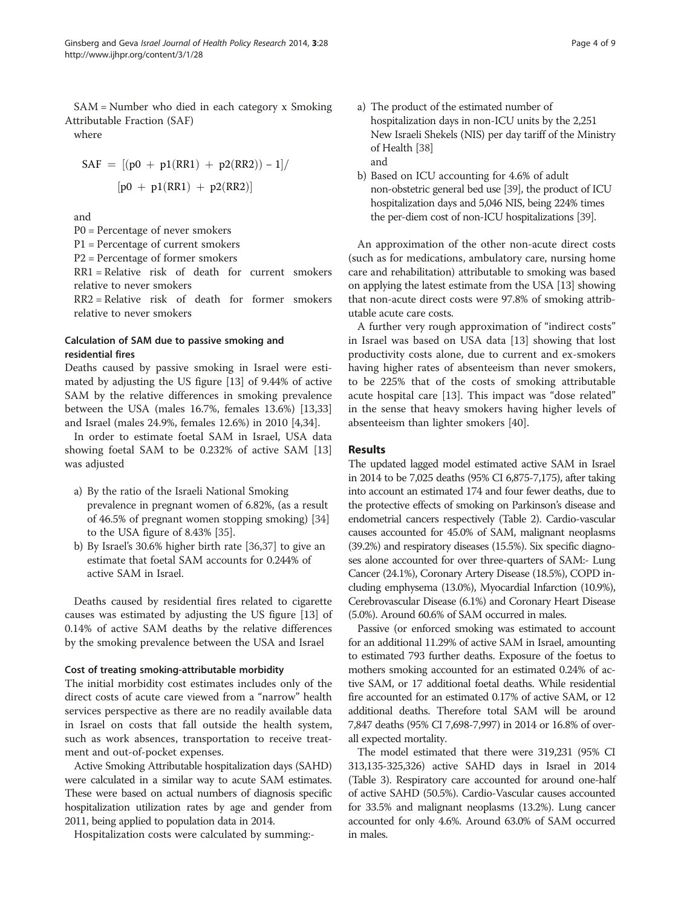SAM = Number who died in each category x Smoking Attributable Fraction (SAF)

where

$$
SAF = [(p0 + p1(RR1) + p2(RR2)) - 1] /
$$
  
[p0 + p1(RR1) + p2(RR2)]

and

P0 = Percentage of never smokers

P1 = Percentage of current smokers

P2 = Percentage of former smokers

RR1 = Relative risk of death for current smokers relative to never smokers

RR2 = Relative risk of death for former smokers relative to never smokers

# Calculation of SAM due to passive smoking and residential fires

Deaths caused by passive smoking in Israel were estimated by adjusting the US figure [[13\]](#page-7-0) of 9.44% of active SAM by the relative differences in smoking prevalence between the USA (males 16.7%, females 13.6%) [[13](#page-7-0),[33](#page-7-0)] and Israel (males 24.9%, females 12.6%) in 2010 [[4,34\]](#page-7-0).

In order to estimate foetal SAM in Israel, USA data showing foetal SAM to be 0.232% of active SAM [[13](#page-7-0)] was adjusted

- a) By the ratio of the Israeli National Smoking prevalence in pregnant women of 6.82%, (as a result of 46.5% of pregnant women stopping smoking) [[34](#page-7-0)] to the USA figure of 8.43% [[35\]](#page-7-0).
- b) By Israel's 30.6% higher birth rate [[36,37](#page-7-0)] to give an estimate that foetal SAM accounts for 0.244% of active SAM in Israel.

Deaths caused by residential fires related to cigarette causes was estimated by adjusting the US figure [[13\]](#page-7-0) of 0.14% of active SAM deaths by the relative differences by the smoking prevalence between the USA and Israel

# Cost of treating smoking-attributable morbidity

The initial morbidity cost estimates includes only of the direct costs of acute care viewed from a "narrow" health services perspective as there are no readily available data in Israel on costs that fall outside the health system, such as work absences, transportation to receive treatment and out-of-pocket expenses.

Active Smoking Attributable hospitalization days (SAHD) were calculated in a similar way to acute SAM estimates. These were based on actual numbers of diagnosis specific hospitalization utilization rates by age and gender from 2011, being applied to population data in 2014.

Hospitalization costs were calculated by summing:-

- a) The product of the estimated number of
	- hospitalization days in non-ICU units by the 2,251 New Israeli Shekels (NIS) per day tariff of the Ministry of Health [[38](#page-8-0)] and
- b) Based on ICU accounting for 4.6% of adult non-obstetric general bed use [[39\]](#page-8-0), the product of ICU hospitalization days and 5,046 NIS, being 224% times the per-diem cost of non-ICU hospitalizations [[39\]](#page-8-0).

An approximation of the other non-acute direct costs (such as for medications, ambulatory care, nursing home care and rehabilitation) attributable to smoking was based on applying the latest estimate from the USA [\[13\]](#page-7-0) showing that non-acute direct costs were 97.8% of smoking attributable acute care costs.

A further very rough approximation of "indirect costs" in Israel was based on USA data [[13](#page-7-0)] showing that lost productivity costs alone, due to current and ex-smokers having higher rates of absenteeism than never smokers, to be 225% that of the costs of smoking attributable acute hospital care [[13\]](#page-7-0). This impact was "dose related" in the sense that heavy smokers having higher levels of absenteeism than lighter smokers [[40\]](#page-8-0).

# Results

The updated lagged model estimated active SAM in Israel in 2014 to be 7,025 deaths (95% CI 6,875-7,175), after taking into account an estimated 174 and four fewer deaths, due to the protective effects of smoking on Parkinson's disease and endometrial cancers respectively (Table [2\)](#page-4-0). Cardio-vascular causes accounted for 45.0% of SAM, malignant neoplasms (39.2%) and respiratory diseases (15.5%). Six specific diagnoses alone accounted for over three-quarters of SAM:- Lung Cancer (24.1%), Coronary Artery Disease (18.5%), COPD including emphysema (13.0%), Myocardial Infarction (10.9%), Cerebrovascular Disease (6.1%) and Coronary Heart Disease (5.0%). Around 60.6% of SAM occurred in males.

Passive (or enforced smoking was estimated to account for an additional 11.29% of active SAM in Israel, amounting to estimated 793 further deaths. Exposure of the foetus to mothers smoking accounted for an estimated 0.24% of active SAM, or 17 additional foetal deaths. While residential fire accounted for an estimated 0.17% of active SAM, or 12 additional deaths. Therefore total SAM will be around 7,847 deaths (95% CI 7,698-7,997) in 2014 or 16.8% of overall expected mortality.

The model estimated that there were 319,231 (95% CI 313,135-325,326) active SAHD days in Israel in 2014 (Table [3\)](#page-5-0). Respiratory care accounted for around one-half of active SAHD (50.5%). Cardio-Vascular causes accounted for 33.5% and malignant neoplasms (13.2%). Lung cancer accounted for only 4.6%. Around 63.0% of SAM occurred in males.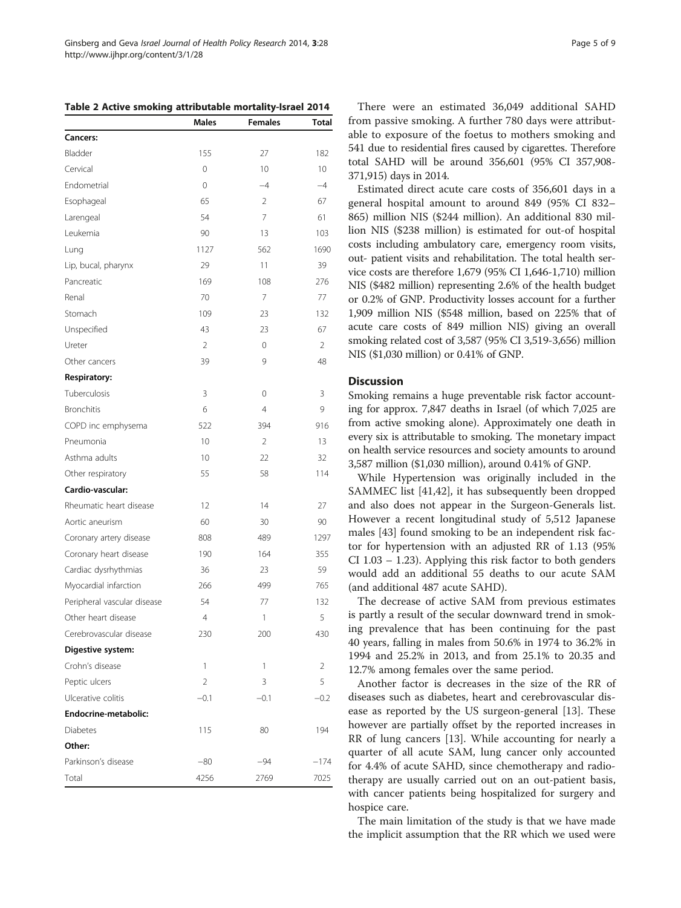There were an estimated 36,049 additional SAHD from passive smoking. A further 780 days were attributable to exposure of the foetus to mothers smoking and 541 due to residential fires caused by cigarettes. Therefore total SAHD will be around 356,601 (95% CI 357,908- 371,915) days in 2014.

Estimated direct acute care costs of 356,601 days in a general hospital amount to around 849 (95% CI 832– 865) million NIS (\$244 million). An additional 830 million NIS (\$238 million) is estimated for out-of hospital costs including ambulatory care, emergency room visits, out- patient visits and rehabilitation. The total health service costs are therefore 1,679 (95% CI 1,646-1,710) million NIS (\$482 million) representing 2.6% of the health budget or 0.2% of GNP. Productivity losses account for a further 1,909 million NIS (\$548 million, based on 225% that of acute care costs of 849 million NIS) giving an overall smoking related cost of 3,587 (95% CI 3,519-3,656) million NIS (\$1,030 million) or 0.41% of GNP.

## **Discussion**

Smoking remains a huge preventable risk factor accounting for approx. 7,847 deaths in Israel (of which 7,025 are from active smoking alone). Approximately one death in every six is attributable to smoking. The monetary impact on health service resources and society amounts to around 3,587 million (\$1,030 million), around 0.41% of GNP.

While Hypertension was originally included in the SAMMEC list [\[41,42\]](#page-8-0), it has subsequently been dropped and also does not appear in the Surgeon-Generals list. However a recent longitudinal study of 5,512 Japanese males [\[43](#page-8-0)] found smoking to be an independent risk factor for hypertension with an adjusted RR of 1.13 (95% CI 1.03 – 1.23). Applying this risk factor to both genders would add an additional 55 deaths to our acute SAM (and additional 487 acute SAHD).

The decrease of active SAM from previous estimates is partly a result of the secular downward trend in smoking prevalence that has been continuing for the past 40 years, falling in males from 50.6% in 1974 to 36.2% in 1994 and 25.2% in 2013, and from 25.1% to 20.35 and 12.7% among females over the same period.

Another factor is decreases in the size of the RR of diseases such as diabetes, heart and cerebrovascular disease as reported by the US surgeon-general [\[13](#page-7-0)]. These however are partially offset by the reported increases in RR of lung cancers [[13](#page-7-0)]. While accounting for nearly a quarter of all acute SAM, lung cancer only accounted for 4.4% of acute SAHD, since chemotherapy and radiotherapy are usually carried out on an out-patient basis, with cancer patients being hospitalized for surgery and hospice care.

The main limitation of the study is that we have made the implicit assumption that the RR which we used were

<span id="page-4-0"></span>Table 2 Active smoking attributable mortality-Israel 2014

|                             | Males          | <b>Females</b> | Total          |
|-----------------------------|----------------|----------------|----------------|
| <b>Cancers:</b>             |                |                |                |
| Bladder                     | 155            | 27             | 182            |
| Cervical                    | 0              | 10             | 10             |
| Endometrial                 | 0              | $-4$           | $-4$           |
| Esophageal                  | 65             | $\overline{2}$ | 67             |
| Larengeal                   | 54             | 7              | 61             |
| Leukemia                    | 90             | 13             | 103            |
| Lung                        | 1127           | 562            | 1690           |
| Lip, bucal, pharynx         | 29             | 11             | 39             |
| Pancreatic                  | 169            | 108            | 276            |
| Renal                       | 70             | 7              | 77             |
| Stomach                     | 109            | 23             | 132            |
| Unspecified                 | 43             | 23             | 67             |
| Ureter                      | $\overline{2}$ | 0              | 2              |
| Other cancers               | 39             | 9              | 48             |
| <b>Respiratory:</b>         |                |                |                |
| Tuberculosis                | 3              | 0              | 3              |
| <b>Bronchitis</b>           | 6              | 4              | 9              |
| COPD inc emphysema          | 522            | 394            | 916            |
| Pneumonia                   | 10             | $\overline{2}$ | 13             |
| Asthma adults               | 10             | 22             | 32             |
| Other respiratory           | 55             | 58             | 114            |
| Cardio-vascular:            |                |                |                |
| Rheumatic heart disease     | 12             | 14             | 27             |
| Aortic aneurism             | 60             | 30             | 90             |
| Coronary artery disease     | 808            | 489            | 1297           |
| Coronary heart disease      | 190            | 164            | 355            |
| Cardiac dysrhythmias        | 36             | 23             | 59             |
| Myocardial infarction       | 266            | 499            | 765            |
| Peripheral vascular disease | 54             | 77             | 132            |
| Other heart disease         | 4              | $\mathbf{1}$   | 5              |
| Cerebrovascular disease     | 230            | 200            | 430            |
| Digestive system:           |                |                |                |
| Crohn's disease             | $\mathbf{1}$   | 1              | $\overline{2}$ |
| Peptic ulcers               | $\overline{2}$ | 3              | 5              |
| Ulcerative colitis          | $-0.1$         | $-0.1$         | $-0.2$         |
| Endocrine-metabolic:        |                |                |                |
| <b>Diabetes</b>             | 115            | 80             | 194            |
| Other:                      |                |                |                |
| Parkinson's disease         | $-80$          | -94            | $-174$         |
| Total                       | 4256           | 2769           | 7025           |
|                             |                |                |                |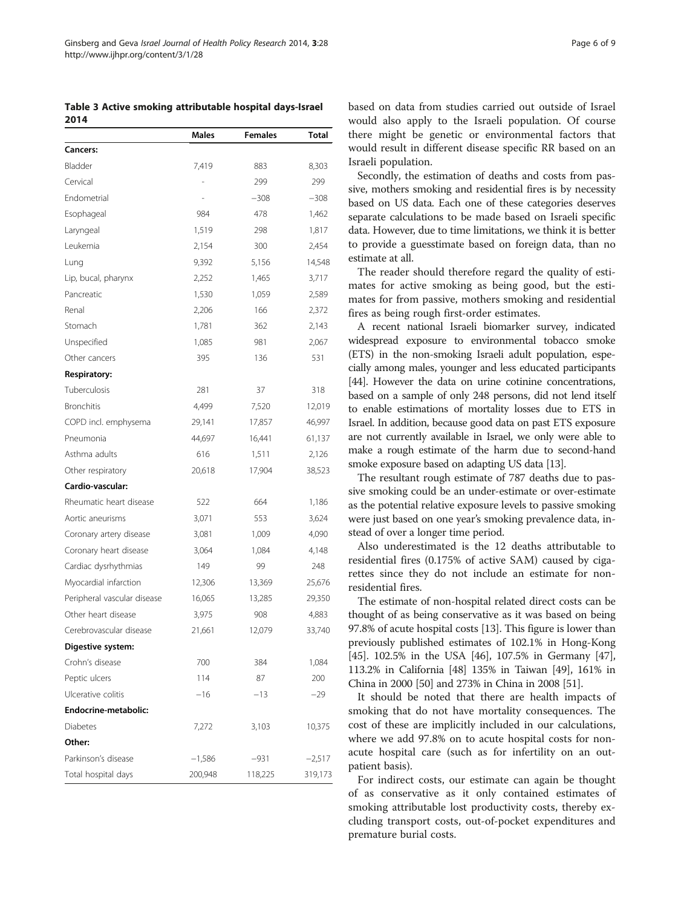<span id="page-5-0"></span>Table 3 Active smoking attributable hospital days-Israel 2014

|                             | <b>Males</b> | <b>Females</b> | Total    |
|-----------------------------|--------------|----------------|----------|
| <b>Cancers:</b>             |              |                |          |
| Bladder                     | 7,419        | 883            | 8,303    |
| Cervical                    |              | 299            | 299      |
| Endometrial                 |              | $-308$         | $-308$   |
| Esophageal                  | 984          | 478            | 1,462    |
| Laryngeal                   | 1,519        | 298            | 1,817    |
| Leukemia                    | 2,154        | 300            | 2,454    |
| Lung                        | 9,392        | 5,156          | 14,548   |
| Lip, bucal, pharynx         | 2,252        | 1,465          | 3,717    |
| Pancreatic                  | 1,530        | 1,059          | 2,589    |
| Renal                       | 2,206        | 166            | 2,372    |
| Stomach                     | 1,781        | 362            | 2,143    |
| Unspecified                 | 1,085        | 981            | 2,067    |
| Other cancers               | 395          | 136            | 531      |
| <b>Respiratory:</b>         |              |                |          |
| Tuberculosis                | 281          | 37             | 318      |
| <b>Bronchitis</b>           | 4,499        | 7,520          | 12,019   |
| COPD incl. emphysema        | 29,141       | 17,857         | 46,997   |
| Pneumonia                   | 44,697       | 16,441         | 61,137   |
| Asthma adults               | 616          | 1,511          | 2,126    |
| Other respiratory           | 20,618       | 17,904         | 38,523   |
| Cardio-vascular:            |              |                |          |
| Rheumatic heart disease     | 522          | 664            | 1,186    |
| Aortic aneurisms            | 3,071        | 553            | 3,624    |
| Coronary artery disease     | 3,081        | 1,009          | 4,090    |
| Coronary heart disease      | 3,064        | 1,084          | 4,148    |
| Cardiac dysrhythmias        | 149          | 99             | 248      |
| Myocardial infarction       | 12,306       | 13,369         | 25,676   |
| Peripheral vascular disease | 16,065       | 13,285         | 29,350   |
| Other heart disease         | 3,975        | 908            | 4,883    |
| Cerebrovascular disease     | 21,661       | 12,079         | 33,740   |
| Digestive system:           |              |                |          |
| Crohn's disease             | 700          | 384            | 1,084    |
| Peptic ulcers               | 114          | 87             | 200      |
| Ulcerative colitis          | $-16$        | $-13$          | $-29$    |
| Endocrine-metabolic:        |              |                |          |
| <b>Diabetes</b>             | 7,272        | 3,103          | 10,375   |
| Other:                      |              |                |          |
| Parkinson's disease         | $-1,586$     | -931           | $-2,517$ |
| Total hospital days         | 200,948      | 118,225        | 319,173  |

Secondly, the estimation of deaths and costs from passive, mothers smoking and residential fires is by necessity based on US data. Each one of these categories deserves separate calculations to be made based on Israeli specific data. However, due to time limitations, we think it is better to provide a guesstimate based on foreign data, than no estimate at all.

The reader should therefore regard the quality of estimates for active smoking as being good, but the estimates for from passive, mothers smoking and residential fires as being rough first-order estimates.

A recent national Israeli biomarker survey, indicated widespread exposure to environmental tobacco smoke (ETS) in the non-smoking Israeli adult population, especially among males, younger and less educated participants [[44](#page-8-0)]. However the data on urine cotinine concentrations, based on a sample of only 248 persons, did not lend itself to enable estimations of mortality losses due to ETS in Israel. In addition, because good data on past ETS exposure are not currently available in Israel, we only were able to make a rough estimate of the harm due to second-hand smoke exposure based on adapting US data [\[13](#page-7-0)].

The resultant rough estimate of 787 deaths due to passive smoking could be an under-estimate or over-estimate as the potential relative exposure levels to passive smoking were just based on one year's smoking prevalence data, instead of over a longer time period.

Also underestimated is the 12 deaths attributable to residential fires (0.175% of active SAM) caused by cigarettes since they do not include an estimate for nonresidential fires.

The estimate of non-hospital related direct costs can be thought of as being conservative as it was based on being 97.8% of acute hospital costs [\[13\]](#page-7-0). This figure is lower than previously published estimates of 102.1% in Hong-Kong [[45](#page-8-0)]. 102.5% in the USA [\[46\]](#page-8-0), 107.5% in Germany [[47](#page-8-0)], 113.2% in California [[48](#page-8-0)] 135% in Taiwan [\[49\]](#page-8-0), 161% in China in 2000 [[50](#page-8-0)] and 273% in China in 2008 [\[51](#page-8-0)].

It should be noted that there are health impacts of smoking that do not have mortality consequences. The cost of these are implicitly included in our calculations, where we add 97.8% on to acute hospital costs for nonacute hospital care (such as for infertility on an outpatient basis).

For indirect costs, our estimate can again be thought of as conservative as it only contained estimates of smoking attributable lost productivity costs, thereby excluding transport costs, out-of-pocket expenditures and premature burial costs.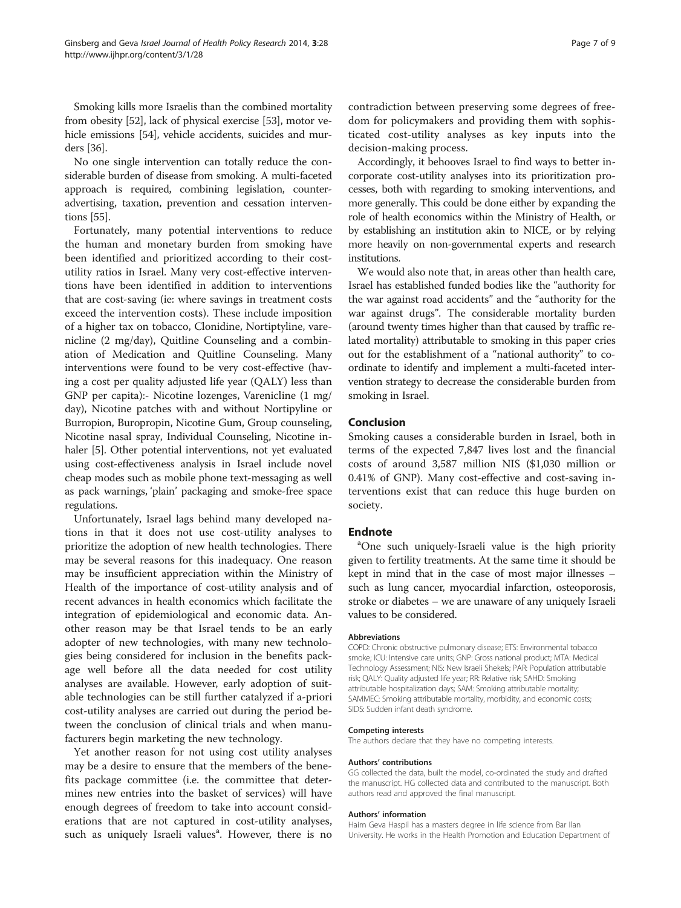Smoking kills more Israelis than the combined mortality from obesity [\[52\]](#page-8-0), lack of physical exercise [[53](#page-8-0)], motor vehicle emissions [[54](#page-8-0)], vehicle accidents, suicides and murders [\[36\]](#page-7-0).

No one single intervention can totally reduce the considerable burden of disease from smoking. A multi-faceted approach is required, combining legislation, counteradvertising, taxation, prevention and cessation interventions [\[55\]](#page-8-0).

Fortunately, many potential interventions to reduce the human and monetary burden from smoking have been identified and prioritized according to their costutility ratios in Israel. Many very cost-effective interventions have been identified in addition to interventions that are cost-saving (ie: where savings in treatment costs exceed the intervention costs). These include imposition of a higher tax on tobacco, Clonidine, Nortiptyline, varenicline (2 mg/day), Quitline Counseling and a combination of Medication and Quitline Counseling. Many interventions were found to be very cost-effective (having a cost per quality adjusted life year (QALY) less than GNP per capita):- Nicotine lozenges, Varenicline (1 mg/ day), Nicotine patches with and without Nortipyline or Burropion, Buropropin, Nicotine Gum, Group counseling, Nicotine nasal spray, Individual Counseling, Nicotine inhaler [\[5](#page-7-0)]. Other potential interventions, not yet evaluated using cost-effectiveness analysis in Israel include novel cheap modes such as mobile phone text-messaging as well as pack warnings, 'plain' packaging and smoke-free space regulations.

Unfortunately, Israel lags behind many developed nations in that it does not use cost-utility analyses to prioritize the adoption of new health technologies. There may be several reasons for this inadequacy. One reason may be insufficient appreciation within the Ministry of Health of the importance of cost-utility analysis and of recent advances in health economics which facilitate the integration of epidemiological and economic data. Another reason may be that Israel tends to be an early adopter of new technologies, with many new technologies being considered for inclusion in the benefits package well before all the data needed for cost utility analyses are available. However, early adoption of suitable technologies can be still further catalyzed if a-priori cost-utility analyses are carried out during the period between the conclusion of clinical trials and when manufacturers begin marketing the new technology.

Yet another reason for not using cost utility analyses may be a desire to ensure that the members of the benefits package committee (i.e. the committee that determines new entries into the basket of services) will have enough degrees of freedom to take into account considerations that are not captured in cost-utility analyses, such as uniquely Israeli values<sup>a</sup>. However, there is no

contradiction between preserving some degrees of freedom for policymakers and providing them with sophisticated cost-utility analyses as key inputs into the decision-making process.

Accordingly, it behooves Israel to find ways to better incorporate cost-utility analyses into its prioritization processes, both with regarding to smoking interventions, and more generally. This could be done either by expanding the role of health economics within the Ministry of Health, or by establishing an institution akin to NICE, or by relying more heavily on non-governmental experts and research institutions.

We would also note that, in areas other than health care, Israel has established funded bodies like the "authority for the war against road accidents" and the "authority for the war against drugs". The considerable mortality burden (around twenty times higher than that caused by traffic related mortality) attributable to smoking in this paper cries out for the establishment of a "national authority" to coordinate to identify and implement a multi-faceted intervention strategy to decrease the considerable burden from smoking in Israel.

## Conclusion

Smoking causes a considerable burden in Israel, both in terms of the expected 7,847 lives lost and the financial costs of around 3,587 million NIS (\$1,030 million or 0.41% of GNP). Many cost-effective and cost-saving interventions exist that can reduce this huge burden on society.

### **Endnote**

<sup>a</sup>One such uniquely-Israeli value is the high priority given to fertility treatments. At the same time it should be kept in mind that in the case of most major illnesses – such as lung cancer, myocardial infarction, osteoporosis, stroke or diabetes – we are unaware of any uniquely Israeli values to be considered.

#### Abbreviations

COPD: Chronic obstructive pulmonary disease; ETS: Environmental tobacco smoke; ICU: Intensive care units; GNP: Gross national product; MTA: Medical Technology Assessment; NIS: New Israeli Shekels; PAR: Population attributable risk; QALY: Quality adjusted life year; RR: Relative risk; SAHD: Smoking attributable hospitalization days; SAM: Smoking attributable mortality; SAMMEC: Smoking attributable mortality, morbidity, and economic costs; SIDS: Sudden infant death syndrome.

#### Competing interests

The authors declare that they have no competing interests.

#### Authors' contributions

GG collected the data, built the model, co-ordinated the study and drafted the manuscript. HG collected data and contributed to the manuscript. Both authors read and approved the final manuscript.

#### Authors' information

Haim Geva Haspil has a masters degree in life science from Bar Ilan University. He works in the Health Promotion and Education Department of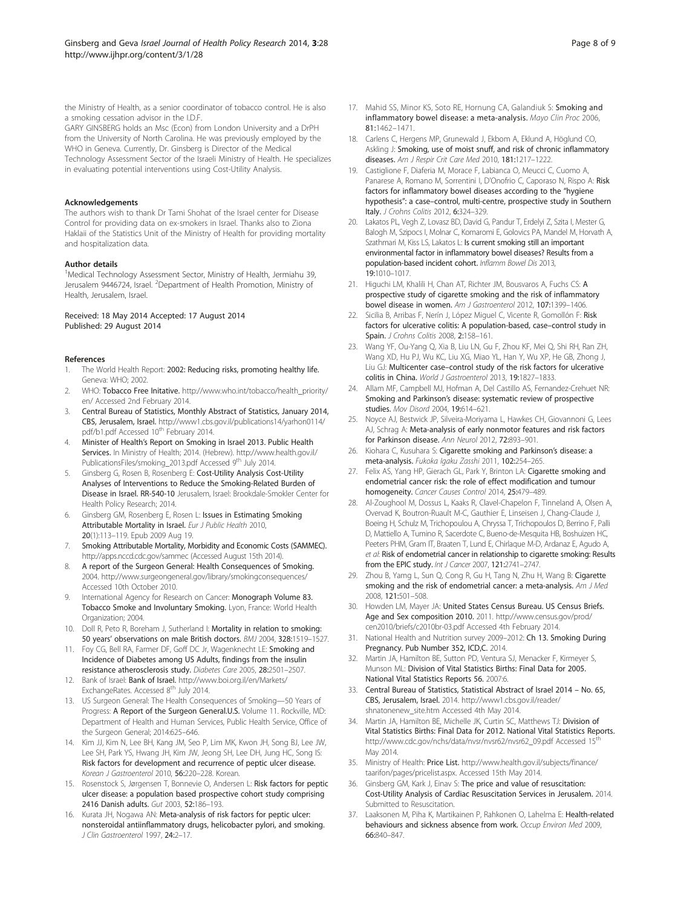<span id="page-7-0"></span>the Ministry of Health, as a senior coordinator of tobacco control. He is also a smoking cessation advisor in the I.D.F.

GARY GINSBERG holds an Msc (Econ) from London University and a DrPH from the University of North Carolina. He was previously employed by the WHO in Geneva. Currently, Dr. Ginsberg is Director of the Medical Technology Assessment Sector of the Israeli Ministry of Health. He specializes in evaluating potential interventions using Cost-Utility Analysis.

#### Acknowledgements

The authors wish to thank Dr Tami Shohat of the Israel center for Disease Control for providing data on ex-smokers in Israel. Thanks also to Ziona Haklaii of the Statistics Unit of the Ministry of Health for providing mortality and hospitalization data.

#### Author details

<sup>1</sup>Medical Technology Assessment Sector, Ministry of Health, Jermiahu 39, Jerusalem 9446724, Israel. <sup>2</sup>Department of Health Promotion, Ministry of Health, Jerusalem, Israel.

#### Received: 18 May 2014 Accepted: 17 August 2014 Published: 29 August 2014

#### References

- 1. The World Health Report: 2002: Reducing risks, promoting healthy life. Geneva: WHO; 2002.
- WHO: Tobacco Free Initative. [http://www.who.int/tobacco/health\\_priority/](http://www.who.int/tobacco/health_priority/en/) [en/](http://www.who.int/tobacco/health_priority/en/) Accessed 2nd February 2014.
- 3. Central Bureau of Statistics, Monthly Abstract of Statistics, January 2014, CBS, Jerusalem, Israel. [http://www1.cbs.gov.il/publications14/yarhon0114/](http://www1.cbs.gov.il/publications14/yarhon0114/pdf/b1.pdf) [pdf/b1.pdf](http://www1.cbs.gov.il/publications14/yarhon0114/pdf/b1.pdf) Accessed 10<sup>th</sup> February 2014.
- 4. Minister of Health's Report on Smoking in Israel 2013. Public Health Services. In Ministry of Health; 2014. (Hebrew). [http://www.health.gov.il/](http://www.health.gov.il/PublicationsFiles/smoking_2013.pdf) [PublicationsFiles/smoking\\_2013.pdf](http://www.health.gov.il/PublicationsFiles/smoking_2013.pdf) Accessed 9<sup>th</sup> July 2014.
- 5. Ginsberg G, Rosen B, Rosenberg E: Cost-Utility Analysis Cost-Utility Analyses of Interventions to Reduce the Smoking-Related Burden of Disease in Israel. RR-540-10 Jerusalem, Israel: Brookdale-Smokler Center for Health Policy Research; 2014.
- 6. Ginsberg GM, Rosenberg E, Rosen L: Issues in Estimating Smoking Attributable Mortality in Israel. Eur J Public Health 2010, 20(1):113–119. Epub 2009 Aug 19.
- 7. Smoking Attributable Mortality, Morbidity and Economic Costs (SAMMEC). <http://apps.nccd.cdc.gov/sammec> (Accessed August 15th 2014).
- 8. A report of the Surgeon General: Health Consequences of Smoking. 2004.<http://www.surgeongeneral.gov/library/smokingconsequences/> Accessed 10th October 2010.
- 9. International Agency for Research on Cancer: Monograph Volume 83. Tobacco Smoke and Involuntary Smoking. Lyon, France: World Health Organization; 2004.
- 10. Doll R, Peto R, Boreham J, Sutherland I: Mortality in relation to smoking: 50 years' observations on male British doctors. BMJ 2004, 328:1519–1527.
- 11. Foy CG, Bell RA, Farmer DF, Goff DC Jr, Wagenknecht LE: Smoking and Incidence of Diabetes among US Adults, findings from the insulin resistance atherosclerosis study. Diabetes Care 2005, 28:2501–2507.
- 12. Bank of Israel: Bank of Israel. [http://www.boi.org.il/en/Markets/](http://www.boi.org.il/en/Markets/ExchangeRates) [ExchangeRates](http://www.boi.org.il/en/Markets/ExchangeRates). Accessed 8<sup>th</sup> July 2014.
- 13. US Surgeon General: The Health Consequences of Smoking—50 Years of Progress: A Report of the Surgeon General.U.S. Volume 11. Rockville, MD: Department of Health and Human Services, Public Health Service, Office of the Surgeon General; 2014:625–646.
- 14. Kim JJ, Kim N, Lee BH, Kang JM, Seo P, Lim MK, Kwon JH, Song BJ, Lee JW, Lee SH, Park YS, Hwang JH, Kim JW, Jeong SH, Lee DH, Jung HC, Song IS: Risk factors for development and recurrence of peptic ulcer disease. Korean J Gastroenterol 2010, 56:220-228. Korean.
- 15. Rosenstock S, Jørgensen T, Bonnevie O, Andersen L: Risk factors for peptic ulcer disease: a population based prospective cohort study comprising 2416 Danish adults. Gut 2003, 52:186–193.
- 16. Kurata JH, Nogawa AN: Meta-analysis of risk factors for peptic ulcer: nonsteroidal antiinflammatory drugs, helicobacter pylori, and smoking. J Clin Gastroenterol 1997, 24:2–17.
- 17. Mahid SS, Minor KS, Soto RE, Hornung CA, Galandiuk S: Smoking and inflammatory bowel disease: a meta-analysis. Mayo Clin Proc 2006, 81:1462–1471.
- 18. Carlens C, Hergens MP, Grunewald J, Ekbom A, Eklund A, Höglund CO, Askling J: Smoking, use of moist snuff, and risk of chronic inflammatory diseases. Am J Respir Crit Care Med 2010, 181:1217-1222.
- 19. Castiglione F, Diaferia M, Morace F, Labianca O, Meucci C, Cuomo A, Panarese A, Romano M, Sorrentini I, D'Onofrio C, Caporaso N, Rispo A: Risk factors for inflammatory bowel diseases according to the "hygiene hypothesis": a case–control, multi-centre, prospective study in Southern Italy. J Crohns Colitis 2012, 6:324–329.
- 20. Lakatos PL, Vegh Z, Lovasz BD, David G, Pandur T, Erdelyi Z, Szita I, Mester G, Balogh M, Szipocs I, Molnar C, Komaromi E, Golovics PA, Mandel M, Horvath A, Szathmari M, Kiss LS, Lakatos L: Is current smoking still an important environmental factor in inflammatory bowel diseases? Results from a population-based incident cohort. Inflamm Bowel Dis 2013, 19:1010–1017.
- 21. Higuchi LM, Khalili H, Chan AT, Richter JM, Bousvaros A, Fuchs CS: A prospective study of cigarette smoking and the risk of inflammatory bowel disease in women. Am J Gastroenterol 2012, 107:1399-1406.
- 22. Sicilia B, Arribas F, Nerín J, López Miguel C, Vicente R, Gomollón F: Risk factors for ulcerative colitis: A population-based, case–control study in Spain. J Crohns Colitis 2008, 2:158–161.
- 23. Wang YF, Ou-Yang Q, Xia B, Liu LN, Gu F, Zhou KF, Mei Q, Shi RH, Ran ZH, Wang XD, Hu PJ, Wu KC, Liu XG, Miao YL, Han Y, Wu XP, He GB, Zhong J, Liu GJ: Multicenter case–control study of the risk factors for ulcerative colitis in China. World J Gastroenterol 2013, 19:1827–1833.
- 24. Allam MF, Campbell MJ, Hofman A, Del Castillo AS, Fernandez-Crehuet NR: Smoking and Parkinson's disease: systematic review of prospective studies. Mov Disord 2004, 19:614–621.
- 25. Noyce AJ, Bestwick JP, Silveira-Moriyama L, Hawkes CH, Giovannoni G, Lees AJ, Schrag A: Meta-analysis of early nonmotor features and risk factors for Parkinson disease. Ann Neurol 2012, 72:893–901.
- 26. Kiohara C, Kusuhara S: Cigarette smoking and Parkinson's disease: a meta-analysis. Fukoka Igaku Zasshi 2011, 102:254–265.
- 27. Felix AS, Yang HP, Gierach GL, Park Y, Brinton LA: Cigarette smoking and endometrial cancer risk: the role of effect modification and tumour homogeneity. Cancer Causes Control 2014, 25:479–489.
- 28. Al-Zoughool M, Dossus L, Kaaks R, Clavel-Chapelon F, Tinneland A, Olsen A, Overvad K, Boutron-Ruault M-C, Gauthier E, Linseisen J, Chang-Claude J, Boeing H, Schulz M, Trichopoulou A, Chryssa T, Trichopoulos D, Berrino F, Palli D, Mattiello A, Tumino R, Sacerdote C, Bueno-de-Mesquita HB, Boshuizen HC, Peeters PHM, Gram IT, Braaten T, Lund E, Chirlaque M-D, Ardanaz E, Agudo A, et al: Risk of endometrial cancer in relationship to cigarette smoking: Results from the EPIC study. Int J Cancer 2007, 121:2741–2747.
- 29. Zhou B, Yamg L, Sun Q, Cong R, Gu H, Tang N, Zhu H, Wang B: Cigarette smoking and the risk of endometrial cancer: a meta-analysis. Am J Med 2008, 121:501–508.
- 30. Howden LM, Mayer JA: United States Census Bureau. US Census Briefs. Age and Sex composition 2010. 2011. [http://www.census.gov/prod/](http://www.census.gov/prod/cen2010/briefs/c2010br-03.pdf) [cen2010/briefs/c2010br-03.pdf](http://www.census.gov/prod/cen2010/briefs/c2010br-03.pdf) Accessed 4th February 2014.
- 31. National Health and Nutrition survey 2009–2012: Ch 13. Smoking During Pregnancy. Pub Number 352, ICD,C. 2014.
- 32. Martin JA, Hamilton BE, Sutton PD, Ventura SJ, Menacker F, Kirmeyer S, Munson ML: Division of Vital Statistics Births: Final Data for 2005. National Vital Statistics Reports 56. 2007:6.
- 33. Central Bureau of Statistics, Statistical Abstract of Israel 2014 No. 65, CBS, Jerusalem, Israel. 2014. [http://www1.cbs.gov.il/reader/](http://www1.cbs.gov.il/reader/shnatonenew_site.htm) [shnatonenew\\_site.htm](http://www1.cbs.gov.il/reader/shnatonenew_site.htm) Accessed 4th May 2014.
- 34. Martin JA, Hamilton BE, Michelle JK, Curtin SC, Matthews TJ: Division of Vital Statistics Births: Final Data for 2012. National Vital Statistics Reports. [http://www.cdc.gov/nchs/data/nvsr/nvsr62/nvsr62\\_09.pdf](http://www.cdc.gov/nchs/data/nvsr/nvsr62/nvsr62_09.pdf) Accessed 15<sup>th</sup> May 2014.
- 35. Ministry of Health: Price List. [http://www.health.gov.il/subjects/finance/](http://www.health.gov.il/subjects/finance/taarifon/pages/pricelist.aspx) [taarifon/pages/pricelist.aspx.](http://www.health.gov.il/subjects/finance/taarifon/pages/pricelist.aspx) Accessed 15th May 2014.
- 36. Ginsberg GM, Kark J, Einav S: The price and value of resuscitation: Cost-Utility Analysis of Cardiac Resuscitation Services in Jerusalem. 2014. Submitted to Resuscitation.
- 37. Laaksonen M, Piha K, Martikainen P, Rahkonen O, Lahelma E: Health-related behaviours and sickness absence from work. Occup Environ Med 2009, 66:840–847.